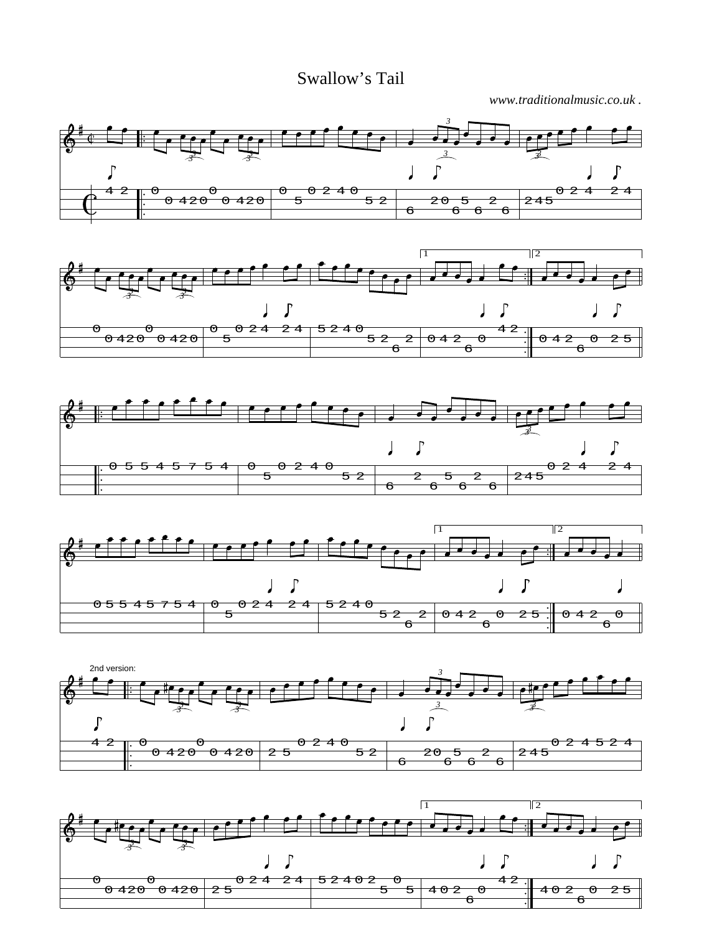Swallow's Tail

*www.traditionalmusic.co.uk .*